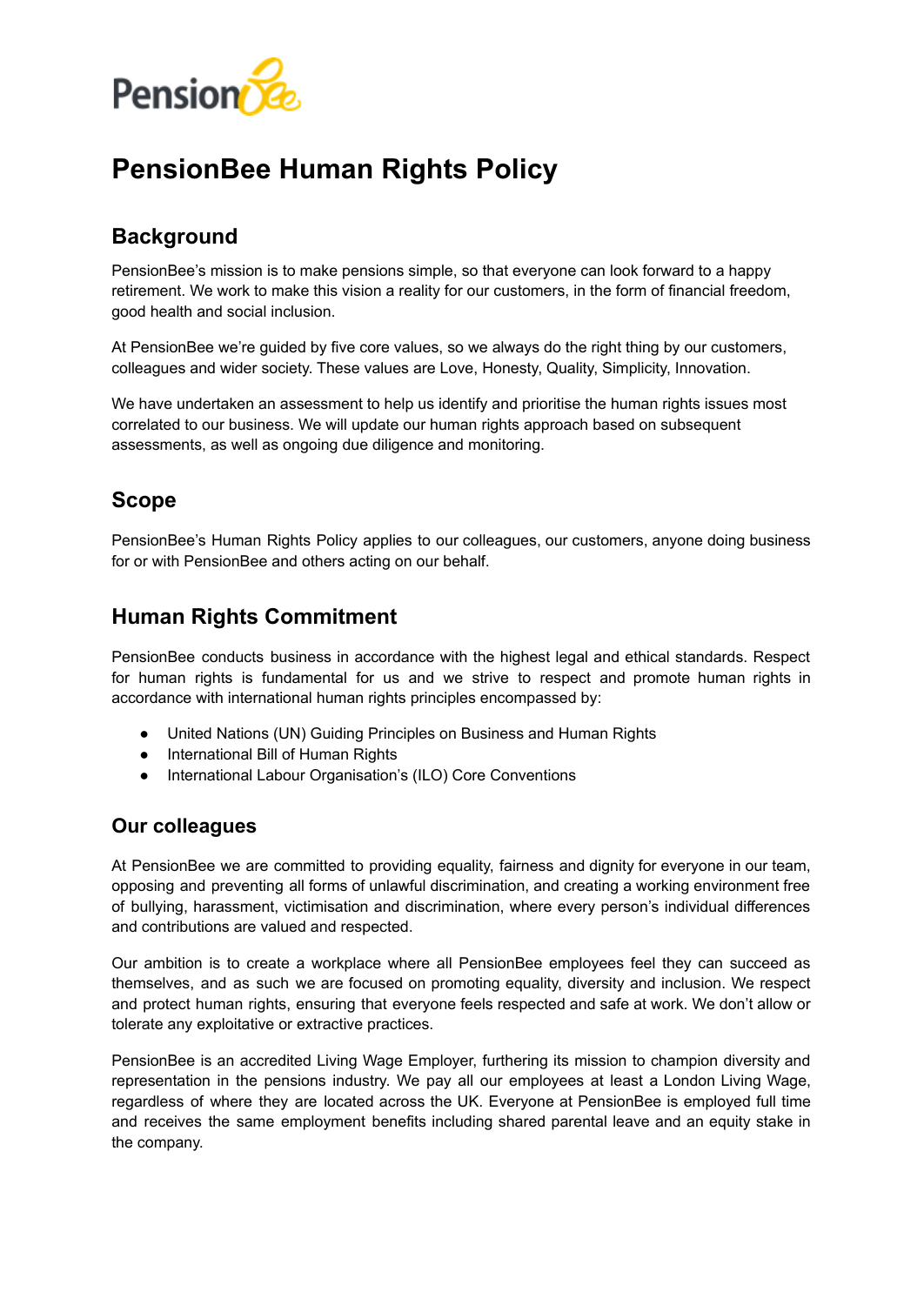

# **PensionBee Human Rights Policy**

# **Background**

PensionBee's mission is to make pensions simple, so that everyone can look forward to a happy retirement. We work to make this vision a reality for our customers, in the form of financial freedom, good health and social inclusion.

At PensionBee we're guided by five core values, so we always do the right thing by our customers, colleagues and wider society. These values are Love, Honesty, Quality, Simplicity, Innovation.

We have undertaken an assessment to help us identify and prioritise the human rights issues most correlated to our business. We will update our human rights approach based on subsequent assessments, as well as ongoing due diligence and monitoring.

# **Scope**

PensionBee's Human Rights Policy applies to our colleagues, our customers, anyone doing business for or with PensionBee and others acting on our behalf.

# **Human Rights Commitment**

PensionBee conducts business in accordance with the highest legal and ethical standards. Respect for human rights is fundamental for us and we strive to respect and promote human rights in accordance with international human rights principles encompassed by:

- United Nations (UN) Guiding Principles on Business and Human Rights
- International Bill of Human Rights
- International Labour Organisation's (ILO) Core Conventions

### **Our colleagues**

At PensionBee we are committed to providing equality, fairness and dignity for everyone in our team, opposing and preventing all forms of unlawful discrimination, and creating a working environment free of bullying, harassment, victimisation and discrimination, where every person's individual differences and contributions are valued and respected.

Our ambition is to create a workplace where all PensionBee employees feel they can succeed as themselves, and as such we are focused on promoting equality, diversity and inclusion. We respect and protect human rights, ensuring that everyone feels respected and safe at work. We don't allow or tolerate any exploitative or extractive practices.

PensionBee is an accredited Living Wage Employer, furthering its mission to champion diversity and representation in the pensions industry. We pay all our employees at least a London Living Wage, regardless of where they are located across the UK. Everyone at PensionBee is employed full time and receives the same employment benefits including shared parental leave and an equity stake in the company.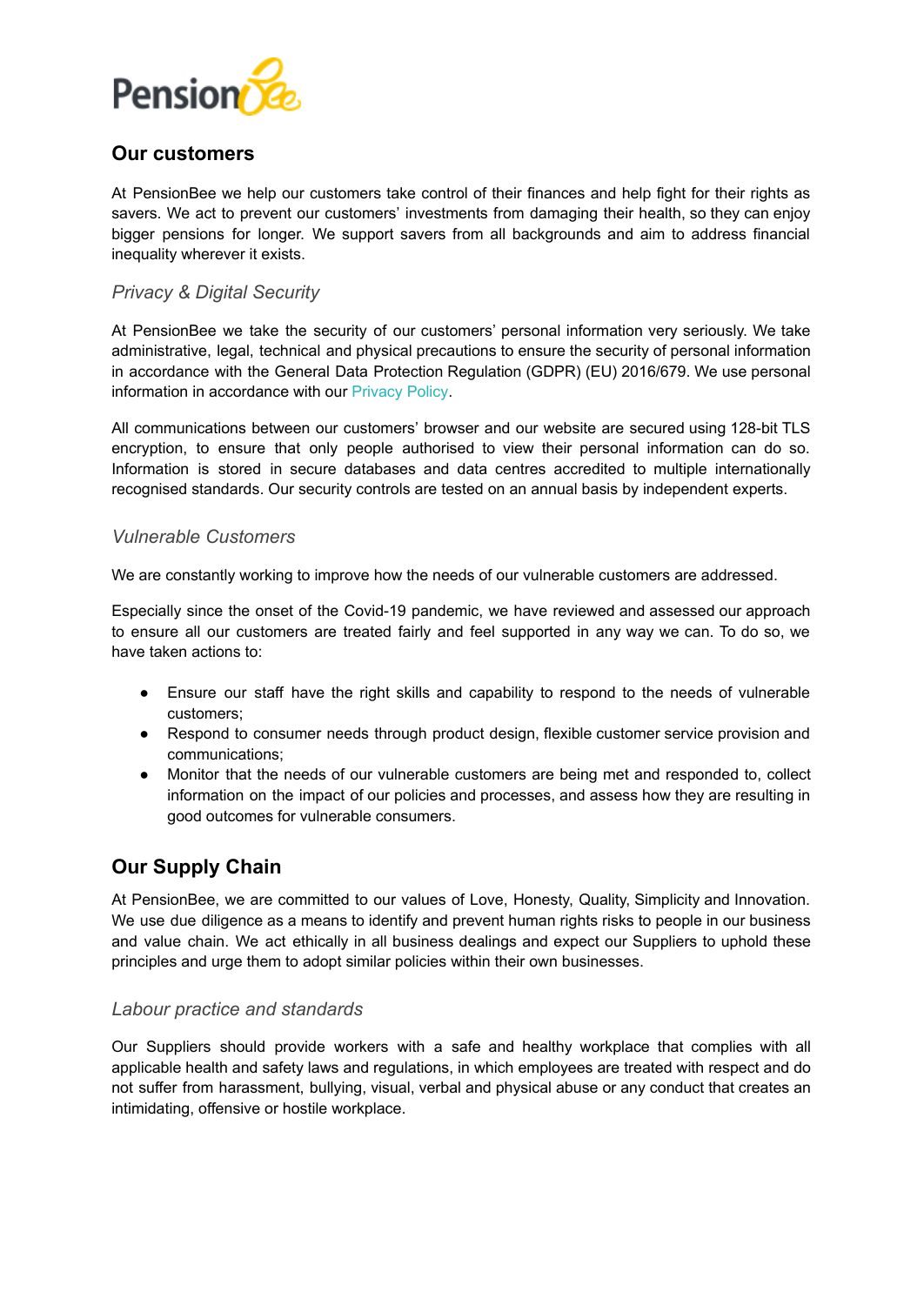

## **Our customers**

At PensionBee we help our customers take control of their finances and help fight for their rights as savers. We act to prevent our customers' investments from damaging their health, so they can enjoy bigger pensions for longer. We support savers from all backgrounds and aim to address financial inequality wherever it exists.

#### *Privacy & Digital Security*

At PensionBee we take the security of our customers' personal information very seriously. We take administrative, legal, technical and physical precautions to ensure the security of personal information in accordance with the General Data Protection Regulation (GDPR) (EU) 2016/679. We use personal information in accordance with our [Privacy](https://www.pensionbee.com/privacy-policy) Policy.

All communications between our customers' browser and our website are secured using 128-bit TLS encryption, to ensure that only people authorised to view their personal information can do so. Information is stored in secure databases and data centres accredited to multiple internationally recognised standards. Our security controls are tested on an annual basis by independent experts.

#### *Vulnerable Customers*

We are constantly working to improve how the needs of our vulnerable customers are addressed.

Especially since the onset of the Covid-19 pandemic, we have reviewed and assessed our approach to ensure all our customers are treated fairly and feel supported in any way we can. To do so, we have taken actions to:

- Ensure our staff have the right skills and capability to respond to the needs of vulnerable customers;
- Respond to consumer needs through product design, flexible customer service provision and communications;
- Monitor that the needs of our vulnerable customers are being met and responded to, collect information on the impact of our policies and processes, and assess how they are resulting in good outcomes for vulnerable consumers.

### **Our Supply Chain**

At PensionBee, we are committed to our values of Love, Honesty, Quality, Simplicity and Innovation. We use due diligence as a means to identify and prevent human rights risks to people in our business and value chain. We act ethically in all business dealings and expect our Suppliers to uphold these principles and urge them to adopt similar policies within their own businesses.

#### *Labour practice and standards*

Our Suppliers should provide workers with a safe and healthy workplace that complies with all applicable health and safety laws and regulations, in which employees are treated with respect and do not suffer from harassment, bullying, visual, verbal and physical abuse or any conduct that creates an intimidating, offensive or hostile workplace.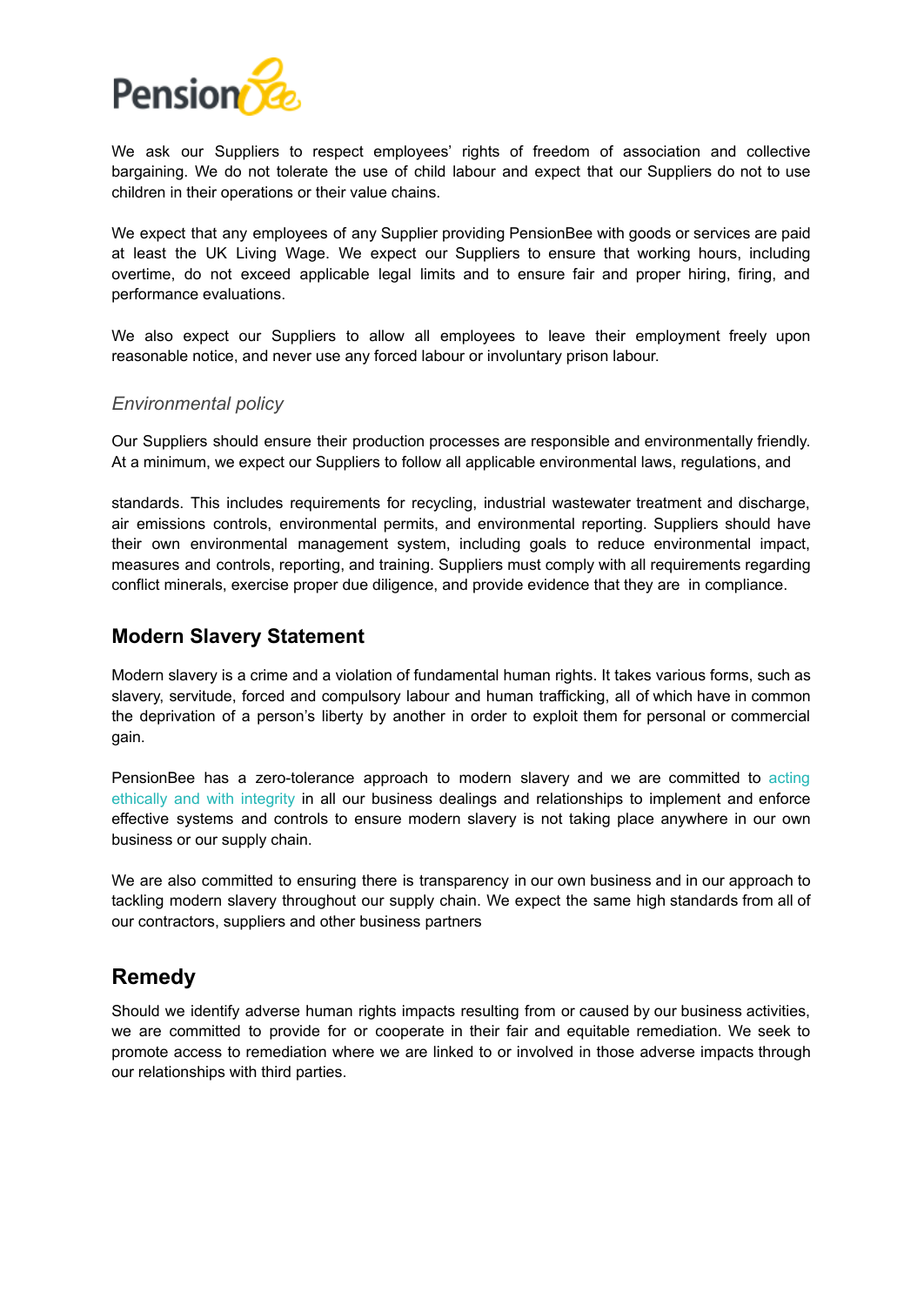

We ask our Suppliers to respect employees' rights of freedom of association and collective bargaining. We do not tolerate the use of child labour and expect that our Suppliers do not to use children in their operations or their value chains.

We expect that any employees of any Supplier providing PensionBee with goods or services are paid at least the UK Living Wage. We expect our Suppliers to ensure that working hours, including overtime, do not exceed applicable legal limits and to ensure fair and proper hiring, firing, and performance evaluations.

We also expect our Suppliers to allow all employees to leave their employment freely upon reasonable notice, and never use any forced labour or involuntary prison labour.

#### *Environmental policy*

Our Suppliers should ensure their production processes are responsible and environmentally friendly. At a minimum, we expect our Suppliers to follow all applicable environmental laws, regulations, and

standards. This includes requirements for recycling, industrial wastewater treatment and discharge, air emissions controls, environmental permits, and environmental reporting. Suppliers should have their own environmental management system, including goals to reduce environmental impact, measures and controls, reporting, and training. Suppliers must comply with all requirements regarding conflict minerals, exercise proper due diligence, and provide evidence that they are in compliance.

### **Modern Slavery Statement**

Modern slavery is a crime and a violation of fundamental human rights. It takes various forms, such as slavery, servitude, forced and compulsory labour and human trafficking, all of which have in common the deprivation of a person's liberty by another in order to exploit them for personal or commercial gain.

PensionBee has a zero-tolerance approach to modern slavery and we are committed to [acting](https://www.pensionbee.com/our-values) [ethically](https://www.pensionbee.com/our-values) and with integrity in all our business dealings and relationships to implement and enforce effective systems and controls to ensure modern slavery is not taking place anywhere in our own business or our supply chain.

We are also committed to ensuring there is transparency in our own business and in our approach to tackling modern slavery throughout our supply chain. We expect the same high standards from all of our contractors, suppliers and other business partners

# **Remedy**

Should we identify adverse human rights impacts resulting from or caused by our business activities, we are committed to provide for or cooperate in their fair and equitable remediation. We seek to promote access to remediation where we are linked to or involved in those adverse impacts through our relationships with third parties.